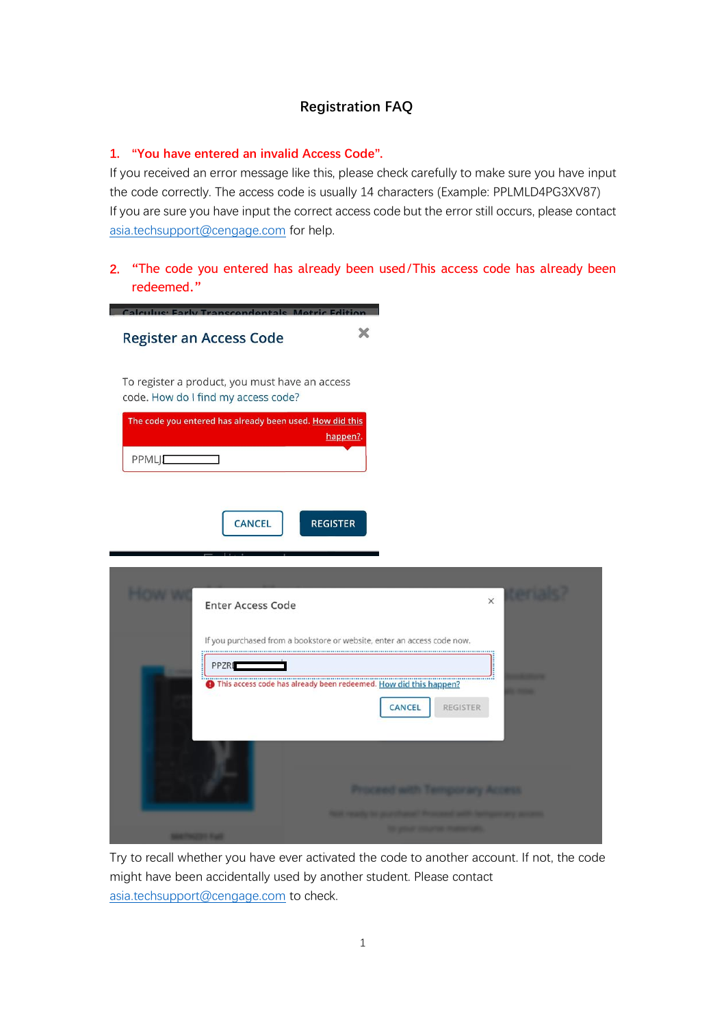## **Registration FAQ**

## **1. "You have entered an invalid Access Code".**

If you received an error message like this, please check carefully to make sure you have input the code correctly. The access code is usually 14 characters (Example: PPLMLD4PG3XV87) If you are sure you have input the correct access code but the error still occurs, please contact [asia.techsupport@cengage.com](mailto:asia.techsupport@cengage.com) for help.

**2.** "The code you entered has already been used/This access code has already been redeemed."

| ×<br><b>Register an Access Code</b>                                                             |
|-------------------------------------------------------------------------------------------------|
| To register a product, you must have an access<br>code. How do I find my access code?           |
| The code you entered has already been used. How did this<br>happen?.<br>PPMLJ                   |
|                                                                                                 |
| <b>CANCEL</b><br><b>REGISTER</b>                                                                |
| $\times$<br><b>Enter Access Code</b>                                                            |
| If you purchased from a bookstore or website, enter an access code now.<br>PPZRI                |
| D This access code has already been redeemed. How did this happen?<br>REGISTER<br><b>CANCEL</b> |
|                                                                                                 |
| Proceed with Temporary Access                                                                   |

Try to recall whether you have ever activated the code to another account. If not, the code might have been accidentally used by another student. Please contact [asia.techsupport@cengage.com](mailto:asia.techsupport@cengage.com) to check.